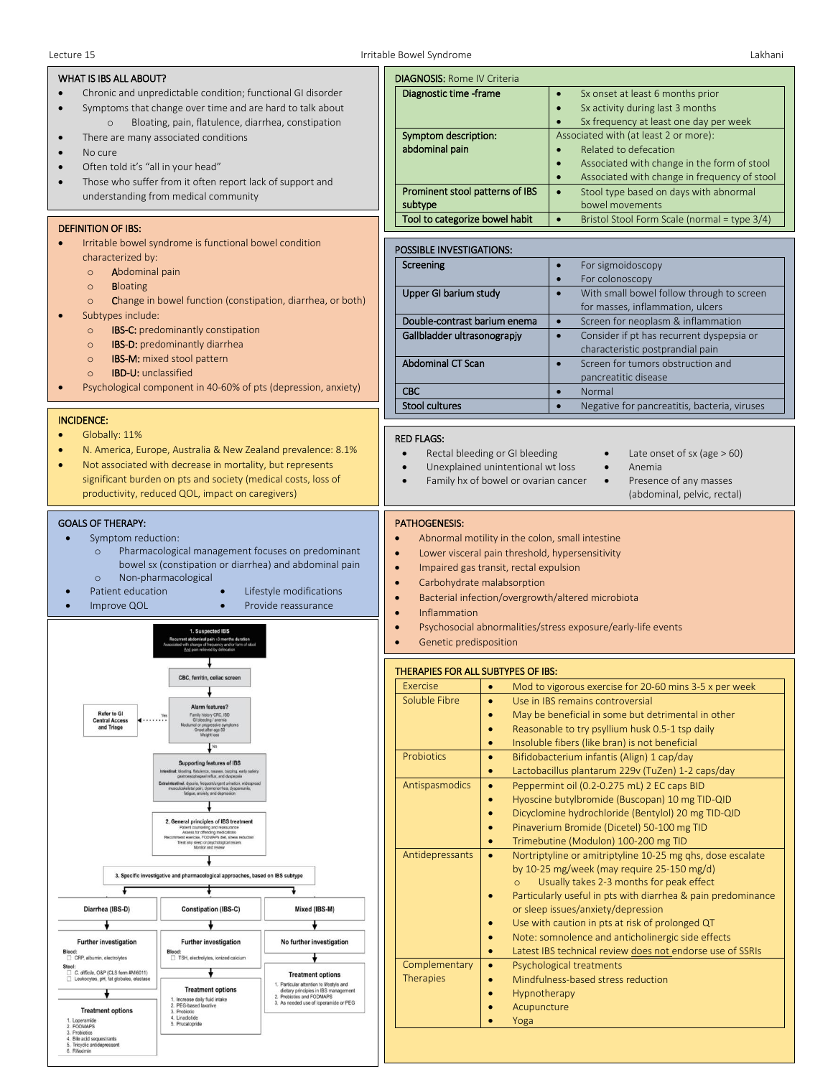| WHAT IS IBS ALL ABOUT?                                                                                                                                                                                                                                                                                                                                               | <b>DIAGNOSIS: Rome IV Criteria</b>                                                                                                                                                                                                                                                                                                                                                                         |
|----------------------------------------------------------------------------------------------------------------------------------------------------------------------------------------------------------------------------------------------------------------------------------------------------------------------------------------------------------------------|------------------------------------------------------------------------------------------------------------------------------------------------------------------------------------------------------------------------------------------------------------------------------------------------------------------------------------------------------------------------------------------------------------|
| Chronic and unpredictable condition; functional GI disorder<br>Symptoms that change over time and are hard to talk about<br>Bloating, pain, flatulence, diarrhea, constipation<br>$\circ$                                                                                                                                                                            | Diagnostic time -frame<br>Sx onset at least 6 months prior<br>$\bullet$<br>Sx activity during last 3 months<br>$\bullet$<br>Sx frequency at least one day per week                                                                                                                                                                                                                                         |
| There are many associated conditions<br>No cure<br>$\bullet$<br>Often told it's "all in your head"<br>$\bullet$                                                                                                                                                                                                                                                      | Symptom description:<br>Associated with (at least 2 or more):<br>abdominal pain<br>Related to defecation<br>$\bullet$<br>Associated with change in the form of stool<br>$\bullet$<br>Associated with change in frequency of stool<br>$\bullet$                                                                                                                                                             |
| Those who suffer from it often report lack of support and<br>understanding from medical community                                                                                                                                                                                                                                                                    | Prominent stool patterns of IBS<br>Stool type based on days with abnormal<br>$\bullet$<br>subtype<br>bowel movements                                                                                                                                                                                                                                                                                       |
| <b>DEFINITION OF IBS:</b>                                                                                                                                                                                                                                                                                                                                            | Tool to categorize bowel habit<br>Bristol Stool Form Scale (normal = type 3/4)<br>$\bullet$                                                                                                                                                                                                                                                                                                                |
| Irritable bowel syndrome is functional bowel condition<br>$\bullet$                                                                                                                                                                                                                                                                                                  |                                                                                                                                                                                                                                                                                                                                                                                                            |
| characterized by:                                                                                                                                                                                                                                                                                                                                                    | POSSIBLE INVESTIGATIONS:<br>Screening                                                                                                                                                                                                                                                                                                                                                                      |
| Abdominal pain<br>$\circ$                                                                                                                                                                                                                                                                                                                                            | For sigmoidoscopy<br>$\bullet$<br>For colonoscopy<br>$\bullet$                                                                                                                                                                                                                                                                                                                                             |
| <b>Bloating</b><br>$\circ$<br>Change in bowel function (constipation, diarrhea, or both)<br>$\circ$                                                                                                                                                                                                                                                                  | Upper GI barium study<br>With small bowel follow through to screen<br>$\bullet$<br>for masses, inflammation, ulcers                                                                                                                                                                                                                                                                                        |
| Subtypes include:<br>IBS-C: predominantly constipation<br>$\circ$                                                                                                                                                                                                                                                                                                    | Double-contrast barium enema<br>Screen for neoplasm & inflammation<br>$\bullet$                                                                                                                                                                                                                                                                                                                            |
| IBS-D: predominantly diarrhea<br>$\circ$                                                                                                                                                                                                                                                                                                                             | Gallbladder ultrasonograpjy<br>Consider if pt has recurrent dyspepsia or<br>$\bullet$<br>characteristic postprandial pain                                                                                                                                                                                                                                                                                  |
| <b>IBS-M:</b> mixed stool pattern<br>$\circ$<br><b>IBD-U:</b> unclassified<br>$\circ$                                                                                                                                                                                                                                                                                | <b>Abdominal CT Scan</b><br>Screen for tumors obstruction and<br>$\bullet$<br>pancreatitic disease                                                                                                                                                                                                                                                                                                         |
| Psychological component in 40-60% of pts (depression, anxiety)                                                                                                                                                                                                                                                                                                       | <b>CBC</b><br>Normal<br>$\bullet$                                                                                                                                                                                                                                                                                                                                                                          |
| <b>INCIDENCE:</b>                                                                                                                                                                                                                                                                                                                                                    | Stool cultures<br>$\bullet$<br>Negative for pancreatitis, bacteria, viruses                                                                                                                                                                                                                                                                                                                                |
| N. America, Europe, Australia & New Zealand prevalence: 8.1%<br>Not associated with decrease in mortality, but represents<br>$\bullet$<br>significant burden on pts and society (medical costs, loss of<br>productivity, reduced QOL, impact on caregivers)                                                                                                          | Rectal bleeding or GI bleeding<br>Late onset of sx (age $> 60$ )<br>$\bullet$<br>$\bullet$<br>Unexplained unintentional wt loss<br>Anemia<br>$\bullet$<br>$\bullet$<br>Presence of any masses<br>Family hx of bowel or ovarian cancer<br>$\bullet$<br>$\bullet$<br>(abdominal, pelvic, rectal)                                                                                                             |
| Symptom reduction:<br>$\bullet$<br>Pharmacological management focuses on predominant<br>$\circ$<br>bowel sx (constipation or diarrhea) and abdominal pain<br>Non-pharmacological<br>$\circ$<br>Patient education<br>Lifestyle modifications<br>Provide reassurance<br>Improve QOL<br>1. Suspected IBS<br>ent abdominal pain =3 months duration                       | Abnormal motility in the colon, small intestine<br>Lower visceral pain threshold, hypersensitivity<br>$\bullet$<br>Impaired gas transit, rectal expulsion<br>$\bullet$<br>Carbohydrate malabsorption<br>$\bullet$<br>Bacterial infection/overgrowth/altered microbiota<br>$\bullet$<br>Inflammation<br>$\bullet$<br>Psychosocial abnormalities/stress exposure/early-life events<br>Genetic predisposition |
|                                                                                                                                                                                                                                                                                                                                                                      | THERAPIES FOR ALL SUBTYPES OF IBS:                                                                                                                                                                                                                                                                                                                                                                         |
|                                                                                                                                                                                                                                                                                                                                                                      | Exercise<br>Mod to vigorous exercise for 20-60 mins 3-5 x per week<br>$\bullet$                                                                                                                                                                                                                                                                                                                            |
| Alarm features?<br>Refer to GI<br>Family history CRC, IBD<br>Yes<br><b>Central Access</b><br>$\blacksquare$<br>GI bleeding / snemia<br>Noclumal or progressive symp<br>Onset after age 50<br>and Triage<br>Weight los<br>No                                                                                                                                          | Soluble Fibre<br>Use in IBS remains controversial<br>$\bullet$<br>May be beneficial in some but detrimental in other<br>$\bullet$<br>Reasonable to try psyllium husk 0.5-1 tsp daily<br>$\bullet$<br>Insoluble fibers (like bran) is not beneficial<br>$\bullet$                                                                                                                                           |
| <b>Supporting features of IBS</b>                                                                                                                                                                                                                                                                                                                                    | Bifidobacterium infantis (Align) 1 cap/day<br><b>Probiotics</b><br>$\bullet$                                                                                                                                                                                                                                                                                                                               |
| Intestinal: bloating, flatulence, nausea, burping, early satiety,<br>sophageal reflux, and dyspepsia<br>Extraintestinal: dysuria, frequenturgent urination, widespread<br>musculoskeletal pain; dysmenomhea, dyspareunia,<br>faligue, anxiety, and depression.                                                                                                       | Lactobacillus plantarum 229v (TuZen) 1-2 caps/day<br>$\bullet$<br>Antispasmodics<br>Peppermint oil (0.2-0.275 mL) 2 EC caps BID<br>$\bullet$                                                                                                                                                                                                                                                               |
| 2. General principles of IBS treatment<br>Patient counselling and reassurance<br>Assess for offending medications                                                                                                                                                                                                                                                    | Hyoscine butylbromide (Buscopan) 10 mg TID-QID<br>$\bullet$<br>Dicyclomine hydrochloride (Bentylol) 20 mg TID-QID<br>$\bullet$<br>Pinaverium Bromide (Dicetel) 50-100 mg TID<br>$\bullet$                                                                                                                                                                                                                  |
| nd exercise, FODMAPs diet, stress reduction<br>Treat any sleep or psychological issues<br>Monitor and review                                                                                                                                                                                                                                                         | Trimebutine (Modulon) 100-200 mg TID<br>$\bullet$                                                                                                                                                                                                                                                                                                                                                          |
|                                                                                                                                                                                                                                                                                                                                                                      | Antidepressants<br>Nortriptyline or amitriptyline 10-25 mg qhs, dose escalate<br>$\bullet$<br>by 10-25 mg/week (may require 25-150 mg/d)                                                                                                                                                                                                                                                                   |
| 3. Specific investigative and pharmacological approaches, based on IBS subtype                                                                                                                                                                                                                                                                                       | Usually takes 2-3 months for peak effect<br>$\Omega$                                                                                                                                                                                                                                                                                                                                                       |
| F                                                                                                                                                                                                                                                                                                                                                                    | Particularly useful in pts with diarrhea & pain predominance<br>$\bullet$                                                                                                                                                                                                                                                                                                                                  |
| Diarrhea (IBS-D)<br>Mixed (IBS-M)<br><b>Constipation (IBS-C)</b>                                                                                                                                                                                                                                                                                                     | or sleep issues/anxiety/depression<br>Use with caution in pts at risk of prolonged QT<br>$\bullet$                                                                                                                                                                                                                                                                                                         |
| <b>Further investigation</b><br><b>Further investigation</b><br>No further investigation                                                                                                                                                                                                                                                                             | Note: somnolence and anticholinergic side effects<br>$\bullet$                                                                                                                                                                                                                                                                                                                                             |
| Blood:<br>Blood:<br>TSH, electrolytes, ionized calcium<br>CRP, albumin, electrolytes                                                                                                                                                                                                                                                                                 | Latest IBS technical review does not endorse use of SSRIs<br>$\bullet$                                                                                                                                                                                                                                                                                                                                     |
| Stool:<br>C. difficile, O&P (CLS form #MI6011)<br><b>Treatment options</b><br>Leukocytes, pH, fat globules, elastase<br>α<br>1. Particular attention to lifestyle and<br><b>Treatment options</b><br>dietary principles in IBS management<br>2. Probiotics and FODMAPS<br>Increase daily fluid intake<br>3. As needed use of loperamide or PEG<br>PEG-based laxative | Complementary<br>Psychological treatments<br>$\bullet$<br><b>Therapies</b><br>Mindfulness-based stress reduction<br>$\bullet$<br>Hypnotherapy<br>$\bullet$<br>Acupuncture<br>$\bullet$                                                                                                                                                                                                                     |
| <b>Treatment options</b><br>3. Probiotic<br>4. Linaclotide<br>1. Loperamide<br>5. Prucalopride<br>2. FODMAPS<br>3. Probiotics<br>4. Bile acid sequestrants<br>5. Tricyclic antidepressant<br>6. Rifaximin                                                                                                                                                            | Yoga                                                                                                                                                                                                                                                                                                                                                                                                       |